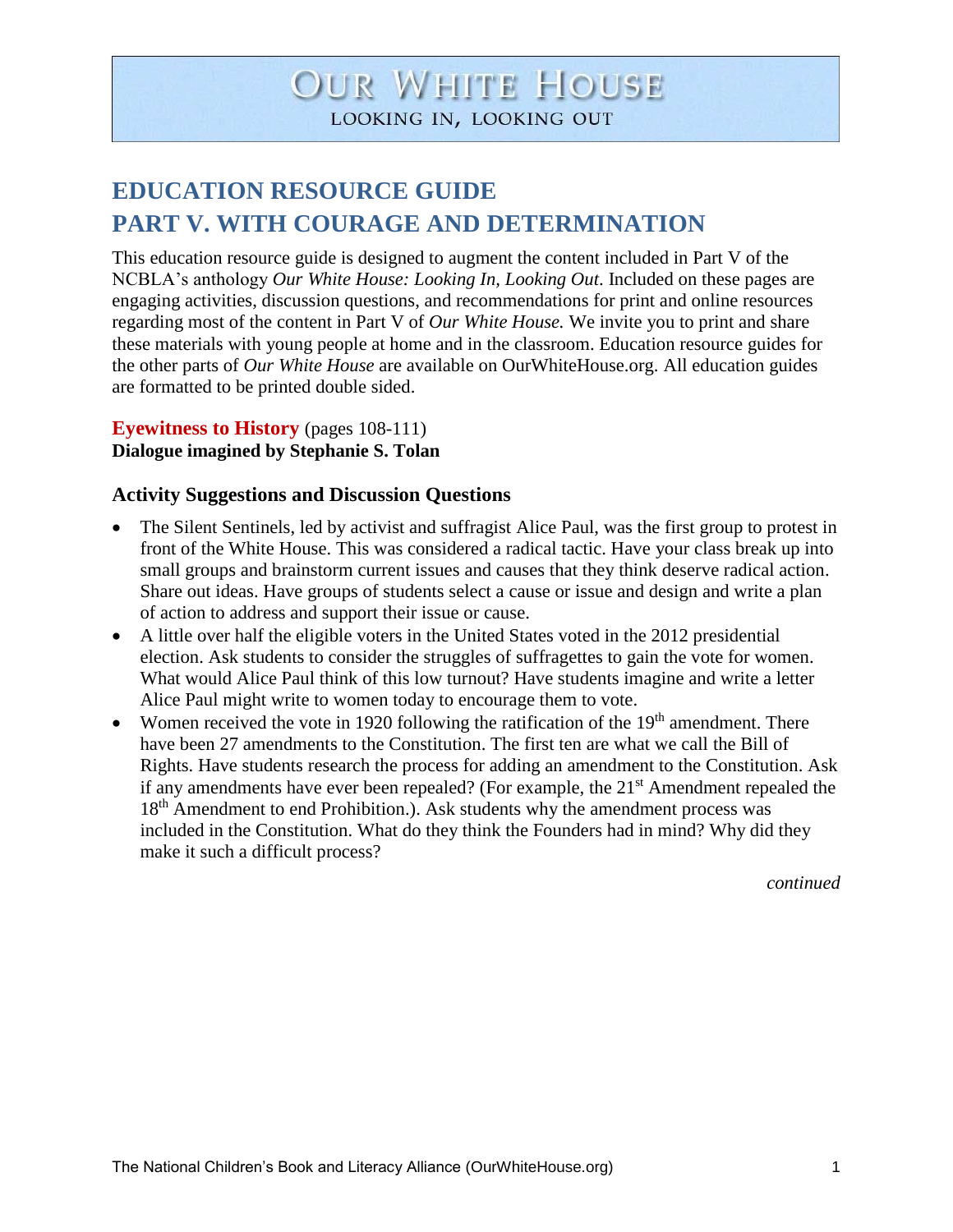# OUR WHITE HOUSE LOOKING IN, LOOKING OUT

# **EDUCATION RESOURCE GUIDE PART V. WITH COURAGE AND DETERMINATION**

This education resource guide is designed to augment the content included in Part V of the NCBLA's anthology *Our White House: Looking In, Looking Out*. Included on these pages are engaging activities, discussion questions, and recommendations for print and online resources regarding most of the content in Part V of *Our White House.* We invite you to print and share these materials with young people at home and in the classroom. Education resource guides for the other parts of *Our White House* are available on OurWhiteHouse.org. All education guides are formatted to be printed double sided.

### **Eyewitness to History** (pages 108-111) **Dialogue imagined by Stephanie S. Tolan**

# **Activity Suggestions and Discussion Questions**

- The Silent Sentinels, led by activist and suffragist Alice Paul, was the first group to protest in front of the White House. This was considered a radical tactic. Have your class break up into small groups and brainstorm current issues and causes that they think deserve radical action. Share out ideas. Have groups of students select a cause or issue and design and write a plan of action to address and support their issue or cause.
- A little over half the eligible voters in the United States voted in the 2012 presidential election. Ask students to consider the struggles of suffragettes to gain the vote for women. What would Alice Paul think of this low turnout? Have students imagine and write a letter Alice Paul might write to women today to encourage them to vote.
- Women received the vote in 1920 following the ratification of the  $19<sup>th</sup>$  amendment. There have been 27 amendments to the Constitution. The first ten are what we call the Bill of Rights. Have students research the process for adding an amendment to the Constitution. Ask if any amendments have ever been repealed? (For example, the  $21<sup>st</sup>$  Amendment repealed the 18<sup>th</sup> Amendment to end Prohibition.). Ask students why the amendment process was included in the Constitution. What do they think the Founders had in mind? Why did they make it such a difficult process?

*continued*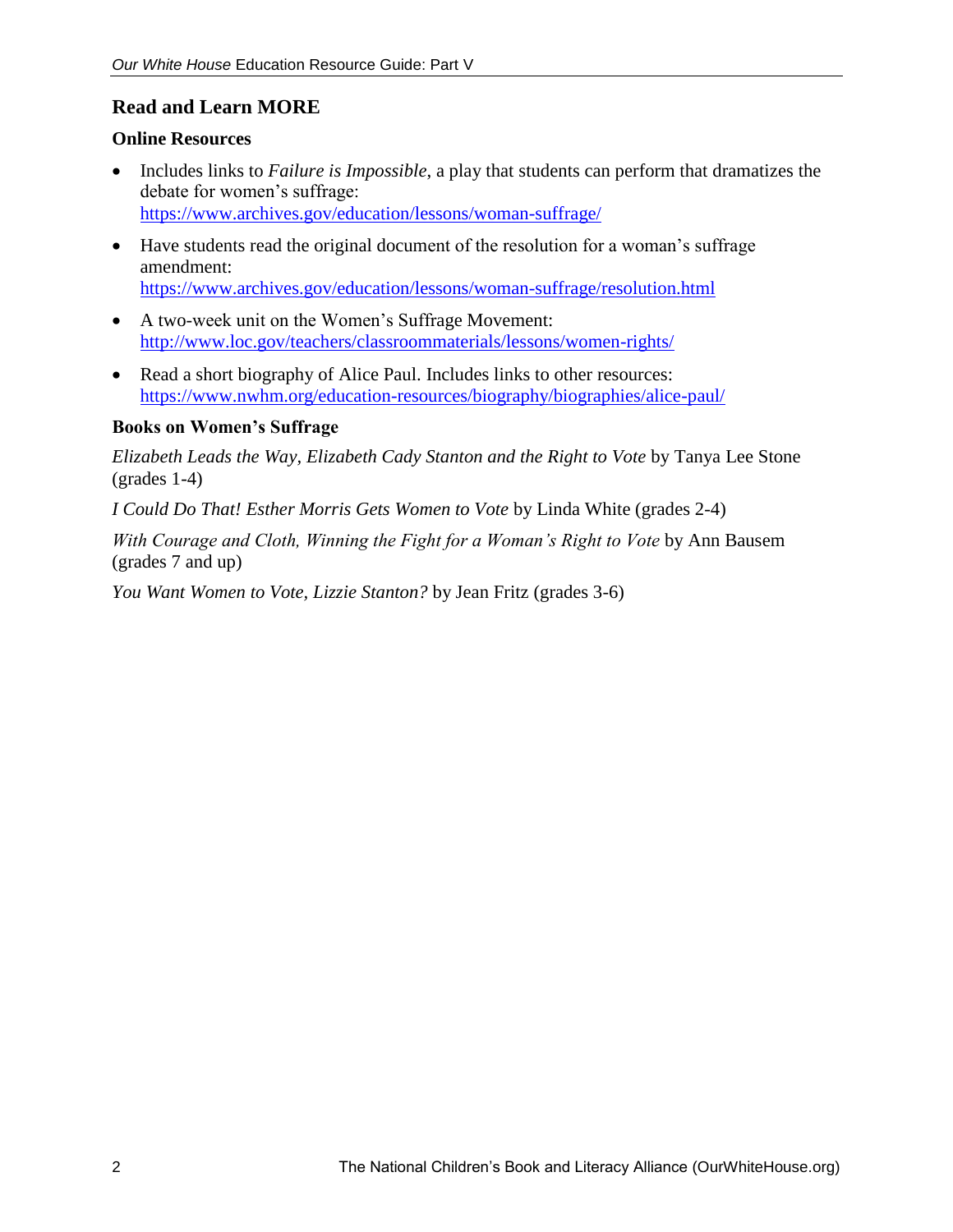# **Read and Learn MORE**

#### **Online Resources**

- Includes links to *Failure is Impossible*, a play that students can perform that dramatizes the debate for women's suffrage: <https://www.archives.gov/education/lessons/woman-suffrage/>
- Have students read the original document of the resolution for a woman's suffrage amendment: <https://www.archives.gov/education/lessons/woman-suffrage/resolution.html>
- A two-week unit on the Women's Suffrage Movement: <http://www.loc.gov/teachers/classroommaterials/lessons/women-rights/>
- Read a short biography of Alice Paul. Includes links to other resources: <https://www.nwhm.org/education-resources/biography/biographies/alice-paul/>

#### **Books on Women's Suffrage**

*Elizabeth Leads the Way, Elizabeth Cady Stanton and the Right to Vote* by Tanya Lee Stone (grades 1-4)

*I Could Do That! Esther Morris Gets Women to Vote* by Linda White (grades 2-4)

*With Courage and Cloth, Winning the Fight for a Woman's Right to Vote* by Ann Bausem (grades 7 and up)

*You Want Women to Vote, Lizzie Stanton?* by Jean Fritz (grades 3-6)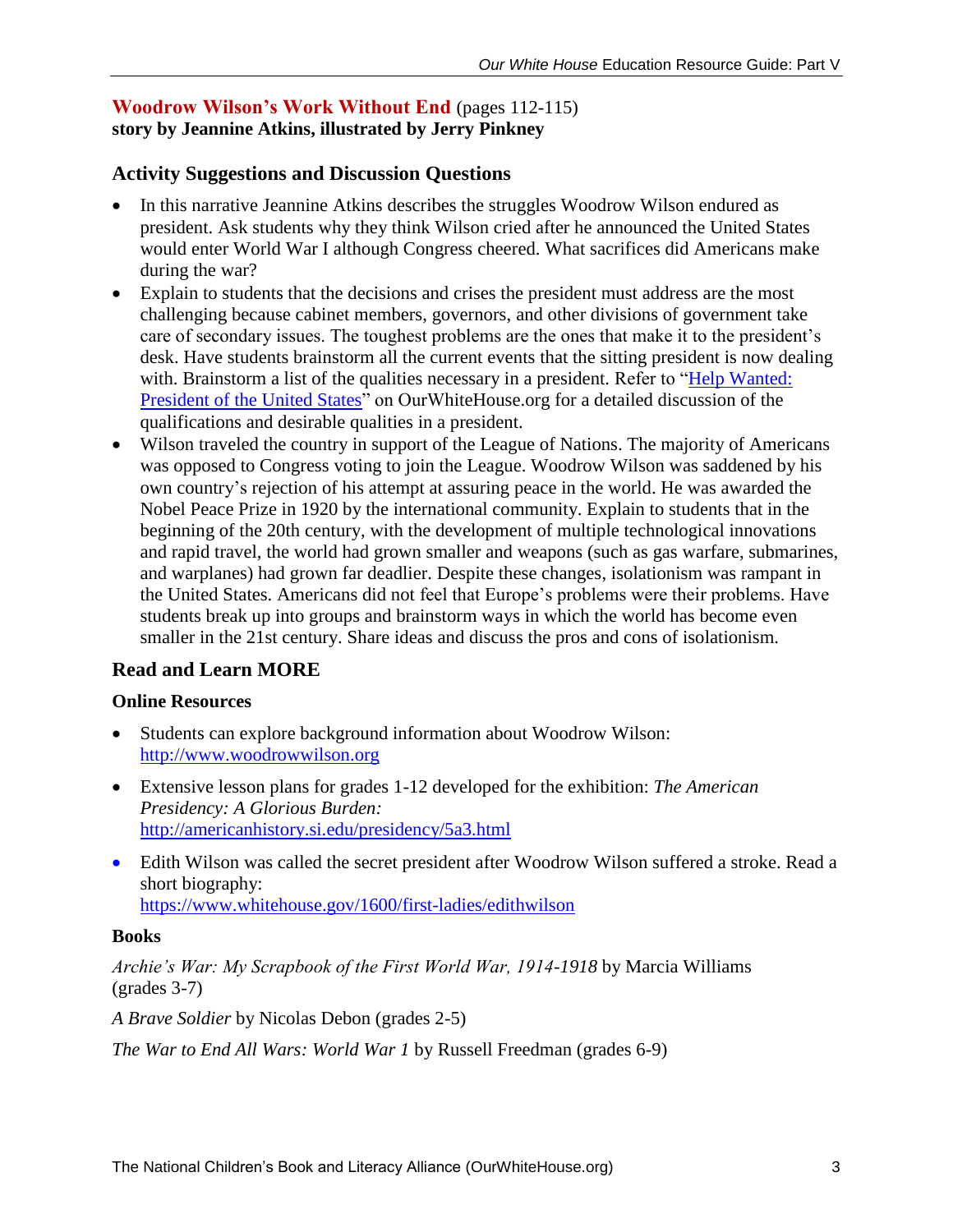# **Woodrow Wilson's Work Without End** (pages 112-115) **story by Jeannine Atkins, illustrated by Jerry Pinkney**

# **Activity Suggestions and Discussion Questions**

- In this narrative Jeannine Atkins describes the struggles Woodrow Wilson endured as president. Ask students why they think Wilson cried after he announced the United States would enter World War I although Congress cheered. What sacrifices did Americans make during the war?
- Explain to students that the decisions and crises the president must address are the most challenging because cabinet members, governors, and other divisions of government take care of secondary issues. The toughest problems are the ones that make it to the president's desk. Have students brainstorm all the current events that the sitting president is now dealing with. Brainstorm a list of the qualities necessary in a president. Refer to "Help Wanted: [President of the United States"](http://ourwhitehouse.org/help-wanted-president-of-the-united-states/) on OurWhiteHouse.org for a detailed discussion of the qualifications and desirable qualities in a president.
- Wilson traveled the country in support of the League of Nations. The majority of Americans was opposed to Congress voting to join the League. Woodrow Wilson was saddened by his own country's rejection of his attempt at assuring peace in the world. He was awarded the Nobel Peace Prize in 1920 by the international community. Explain to students that in the beginning of the 20th century, with the development of multiple technological innovations and rapid travel, the world had grown smaller and weapons (such as gas warfare, submarines, and warplanes) had grown far deadlier. Despite these changes, isolationism was rampant in the United States. Americans did not feel that Europe's problems were their problems. Have students break up into groups and brainstorm ways in which the world has become even smaller in the 21st century. Share ideas and discuss the pros and cons of isolationism.

# **Read and Learn MORE**

#### **Online Resources**

- Students can explore background information about Woodrow Wilson: [http://www.woodrowwilson.org](http://www.woodrowwilson.org/)
- Extensive lesson plans for grades 1-12 developed for the exhibition: *The American Presidency: A Glorious Burden:* <http://americanhistory.si.edu/presidency/5a3.html>
- Edith Wilson was called the secret president after Woodrow Wilson suffered a stroke. Read a short biography: <https://www.whitehouse.gov/1600/first-ladies/edithwilson>

#### **Books**

*Archie's War: My Scrapbook of the First World War, 1914-1918* by Marcia Williams (grades 3-7)

*A Brave Soldier* by Nicolas Debon (grades 2-5)

*The War to End All Wars: World War 1* by Russell Freedman (grades 6-9)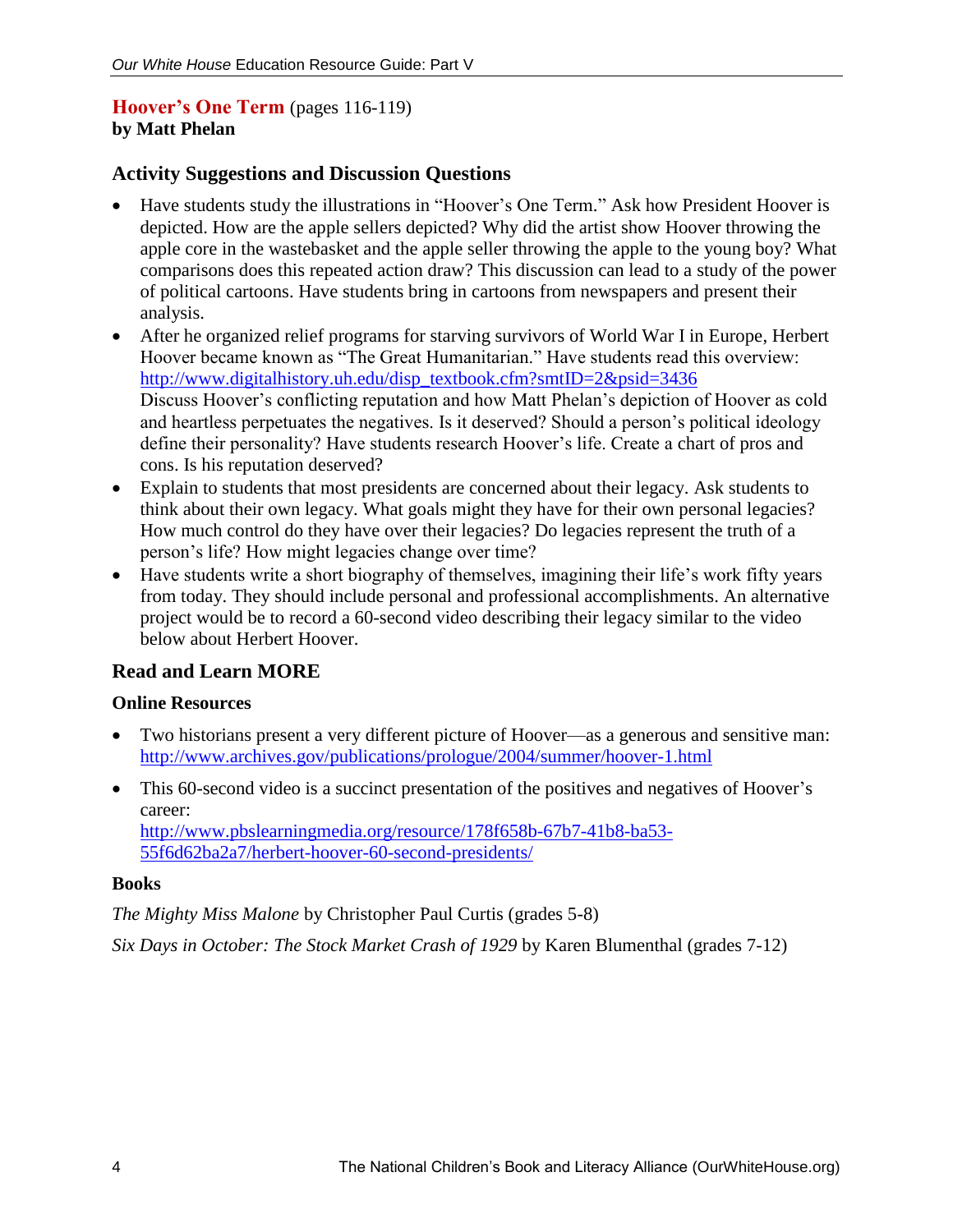# **Hoover's One Term** (pages 116-119) **by Matt Phelan**

## **Activity Suggestions and Discussion Questions**

- Have students study the illustrations in "Hoover's One Term." Ask how President Hoover is depicted. How are the apple sellers depicted? Why did the artist show Hoover throwing the apple core in the wastebasket and the apple seller throwing the apple to the young boy? What comparisons does this repeated action draw? This discussion can lead to a study of the power of political cartoons. Have students bring in cartoons from newspapers and present their analysis.
- After he organized relief programs for starving survivors of World War I in Europe, Herbert Hoover became known as "The Great Humanitarian." Have students read this overview: [http://www.digitalhistory.uh.edu/disp\\_textbook.cfm?smtID=2&psid=3436](http://www.digitalhistory.uh.edu/disp_textbook.cfm?smtID=2&psid=3436) Discuss Hoover's conflicting reputation and how Matt Phelan's depiction of Hoover as cold and heartless perpetuates the negatives. Is it deserved? Should a person's political ideology define their personality? Have students research Hoover's life. Create a chart of pros and cons. Is his reputation deserved?
- Explain to students that most presidents are concerned about their legacy. Ask students to think about their own legacy. What goals might they have for their own personal legacies? How much control do they have over their legacies? Do legacies represent the truth of a person's life? How might legacies change over time?
- Have students write a short biography of themselves, imagining their life's work fifty years from today. They should include personal and professional accomplishments. An alternative project would be to record a 60-second video describing their legacy similar to the video below about Herbert Hoover.

# **Read and Learn MORE**

#### **Online Resources**

- Two historians present a very different picture of Hoover—as a generous and sensitive man: <http://www.archives.gov/publications/prologue/2004/summer/hoover-1.html>
- This 60-second video is a succinct presentation of the positives and negatives of Hoover's career: [http://www.pbslearningmedia.org/resource/178f658b-67b7-41b8-ba53-](http://www.pbslearningmedia.org/resource/178f658b-67b7-41b8-ba53-55f6d62ba2a7/herbert-hoover-60-second-presidents/) [55f6d62ba2a7/herbert-hoover-60-second-presidents/](http://www.pbslearningmedia.org/resource/178f658b-67b7-41b8-ba53-55f6d62ba2a7/herbert-hoover-60-second-presidents/)

#### **Books**

*The Mighty Miss Malone* by Christopher Paul Curtis (grades 5-8)

*Six Days in October: The Stock Market Crash of 1929* by Karen Blumenthal (grades 7-12)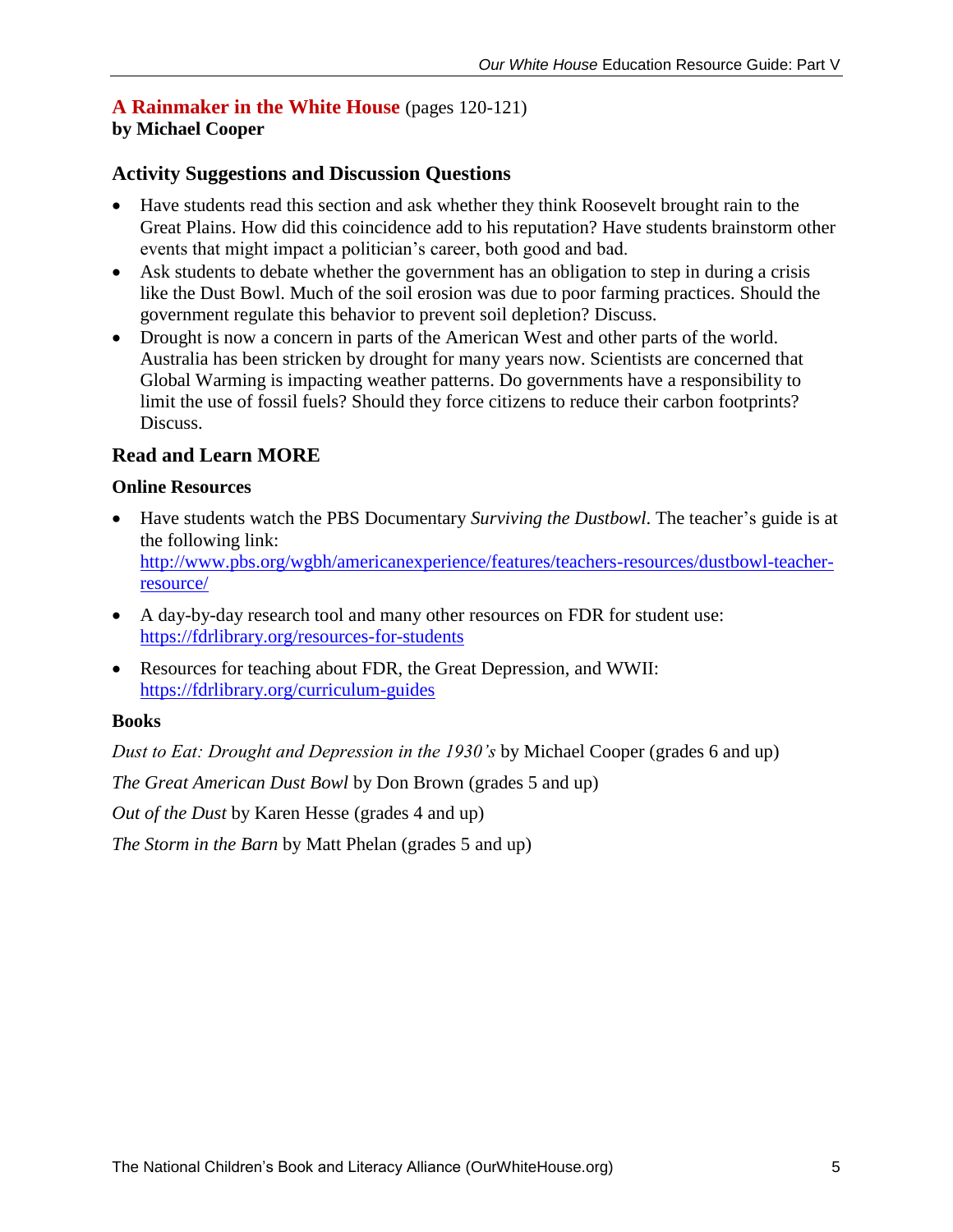# **A Rainmaker in the White House** (pages 120-121)

# **by Michael Cooper**

## **Activity Suggestions and Discussion Questions**

- Have students read this section and ask whether they think Roosevelt brought rain to the Great Plains. How did this coincidence add to his reputation? Have students brainstorm other events that might impact a politician's career, both good and bad.
- Ask students to debate whether the government has an obligation to step in during a crisis like the Dust Bowl. Much of the soil erosion was due to poor farming practices. Should the government regulate this behavior to prevent soil depletion? Discuss.
- Drought is now a concern in parts of the American West and other parts of the world. Australia has been stricken by drought for many years now. Scientists are concerned that Global Warming is impacting weather patterns. Do governments have a responsibility to limit the use of fossil fuels? Should they force citizens to reduce their carbon footprints? Discuss.

# **Read and Learn MORE**

#### **Online Resources**

- Have students watch the PBS Documentary *Surviving the Dustbowl*. The teacher's guide is at the following link: [http://www.pbs.org/wgbh/americanexperience/features/teachers-resources/dustbowl-teacher](http://www.pbs.org/wgbh/americanexperience/features/teachers-resources/dustbowl-teacher-resource/)[resource/](http://www.pbs.org/wgbh/americanexperience/features/teachers-resources/dustbowl-teacher-resource/)
- A day-by-day research tool and many other resources on FDR for student use: <https://fdrlibrary.org/resources-for-students>
- Resources for teaching about FDR, the Great Depression, and WWII: <https://fdrlibrary.org/curriculum-guides>

#### **Books**

*Dust to Eat: Drought and Depression in the 1930's* by Michael Cooper (grades 6 and up)

*The Great American Dust Bowl* by Don Brown (grades 5 and up)

*Out of the Dust* by Karen Hesse (grades 4 and up)

*The Storm in the Barn* by Matt Phelan (grades 5 and up)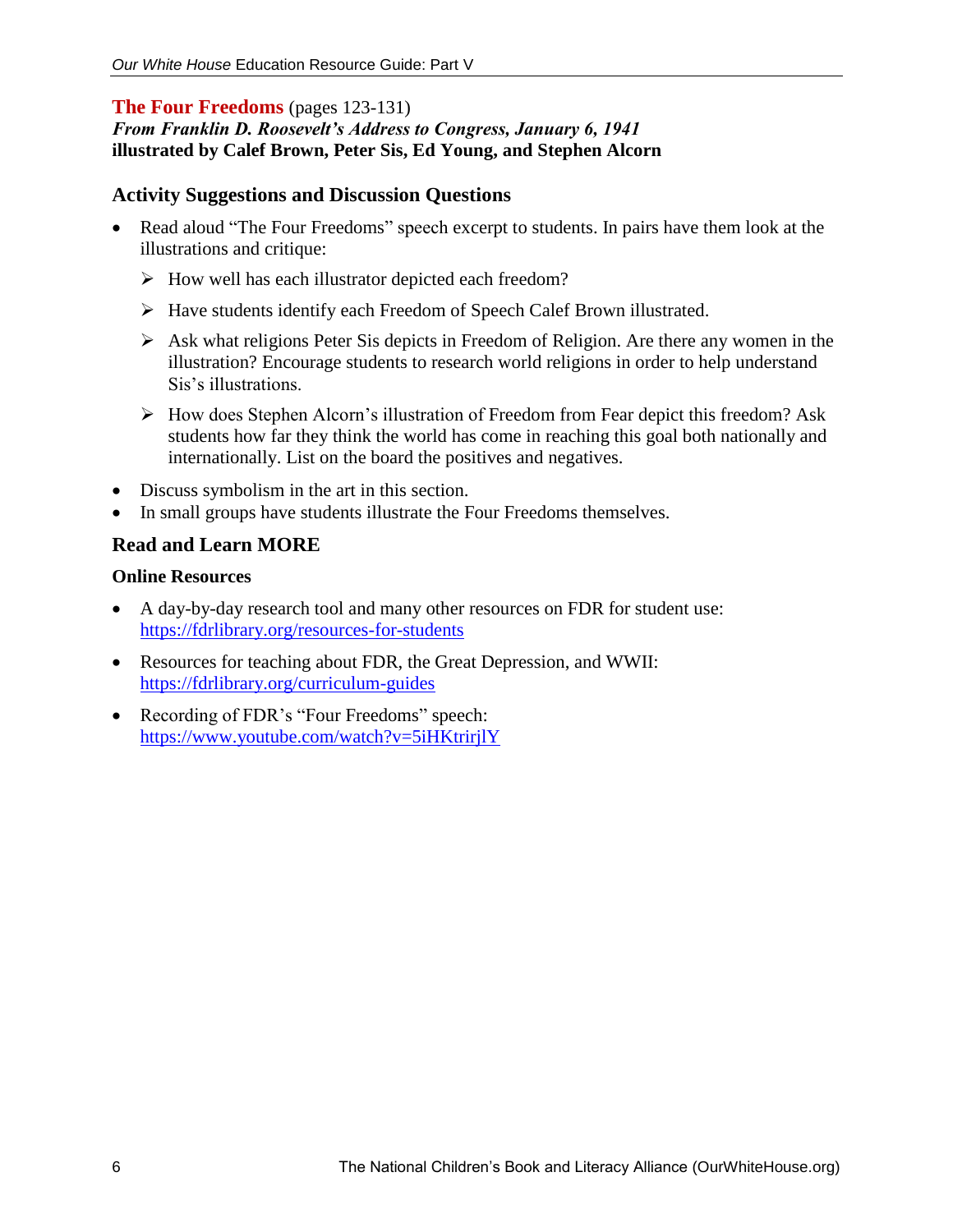# **The Four Freedoms** (pages 123-131)

## *From Franklin D. Roosevelt's Address to Congress, January 6, 1941* **illustrated by Calef Brown, Peter Sis, Ed Young, and Stephen Alcorn**

#### **Activity Suggestions and Discussion Questions**

- Read aloud "The Four Freedoms" speech excerpt to students. In pairs have them look at the illustrations and critique:
	- $\triangleright$  How well has each illustrator depicted each freedom?
	- Have students identify each Freedom of Speech Calef Brown illustrated.
	- Ask what religions Peter Sis depicts in Freedom of Religion. Are there any women in the illustration? Encourage students to research world religions in order to help understand Sis's illustrations.
	- $\triangleright$  How does Stephen Alcorn's illustration of Freedom from Fear depict this freedom? Ask students how far they think the world has come in reaching this goal both nationally and internationally. List on the board the positives and negatives.
- Discuss symbolism in the art in this section.
- In small groups have students illustrate the Four Freedoms themselves.

## **Read and Learn MORE**

#### **Online Resources**

- A day-by-day research tool and many other resources on FDR for student use: <https://fdrlibrary.org/resources-for-students>
- Resources for teaching about FDR, the Great Depression, and WWII: <https://fdrlibrary.org/curriculum-guides>
- Recording of FDR's "Four Freedoms" speech: <https://www.youtube.com/watch?v=5iHKtrirjlY>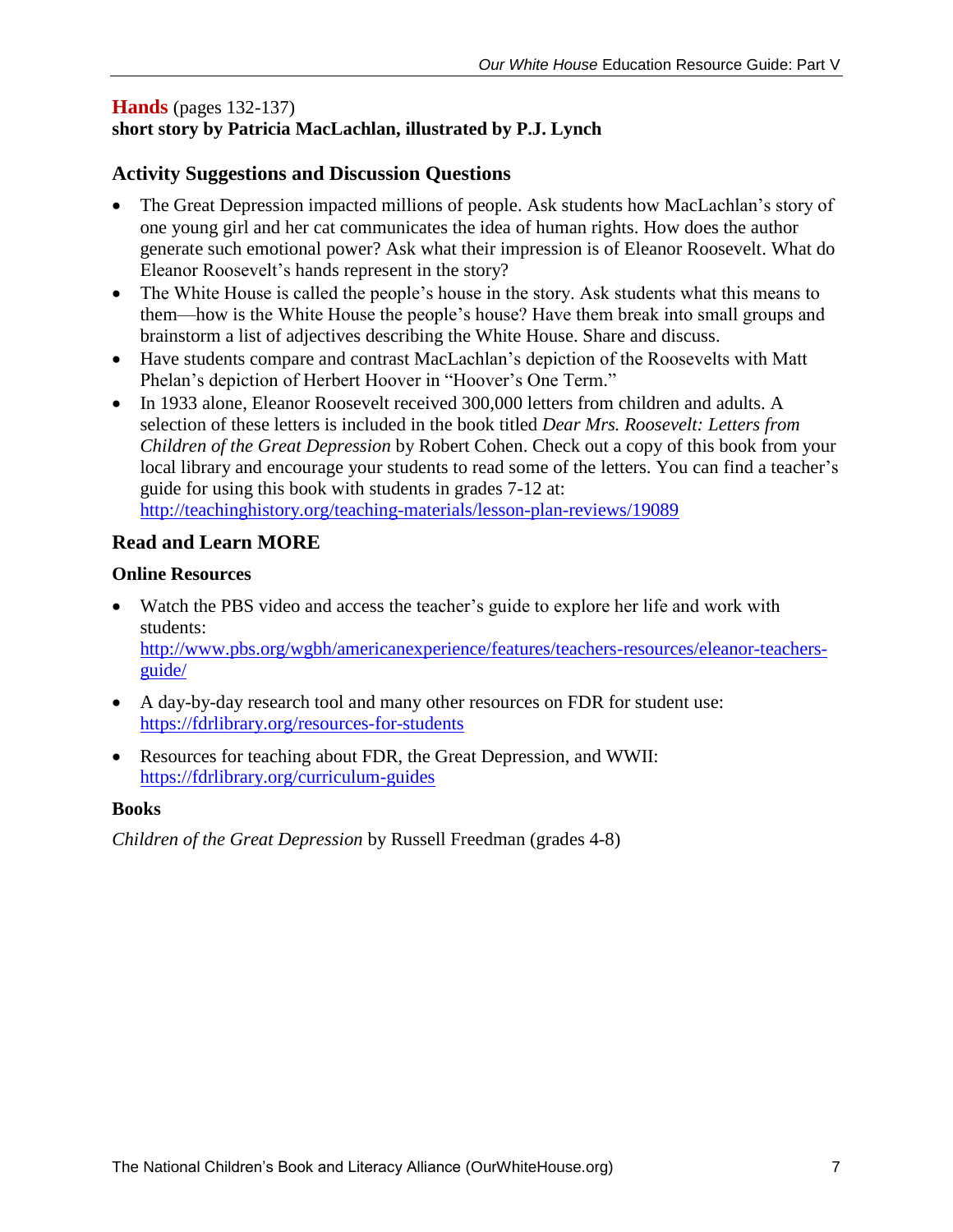### **Hands** (pages 132-137) **short story by Patricia MacLachlan, illustrated by P.J. Lynch**

# **Activity Suggestions and Discussion Questions**

- The Great Depression impacted millions of people. Ask students how MacLachlan's story of one young girl and her cat communicates the idea of human rights. How does the author generate such emotional power? Ask what their impression is of Eleanor Roosevelt. What do Eleanor Roosevelt's hands represent in the story?
- The White House is called the people's house in the story. Ask students what this means to them—how is the White House the people's house? Have them break into small groups and brainstorm a list of adjectives describing the White House. Share and discuss.
- Have students compare and contrast MacLachlan's depiction of the Roosevelts with Matt Phelan's depiction of Herbert Hoover in "Hoover's One Term."
- In 1933 alone, Eleanor Roosevelt received 300,000 letters from children and adults. A selection of these letters is included in the book titled *Dear Mrs. Roosevelt: Letters from Children of the Great Depression* by Robert Cohen. Check out a copy of this book from your local library and encourage your students to read some of the letters. You can find a teacher's guide for using this book with students in grades 7-12 at: <http://teachinghistory.org/teaching-materials/lesson-plan-reviews/19089>

# **Read and Learn MORE**

#### **Online Resources**

- Watch the PBS video and access the teacher's guide to explore her life and work with students: [http://www.pbs.org/wgbh/americanexperience/features/teachers-resources/eleanor-teachers](http://www.pbs.org/wgbh/americanexperience/features/teachers-resources/eleanor-teachers-guide/)[guide/](http://www.pbs.org/wgbh/americanexperience/features/teachers-resources/eleanor-teachers-guide/)
- A day-by-day research tool and many other resources on FDR for student use: <https://fdrlibrary.org/resources-for-students>
- Resources for teaching about FDR, the Great Depression, and WWII: <https://fdrlibrary.org/curriculum-guides>

#### **Books**

*Children of the Great Depression* by Russell Freedman (grades 4-8)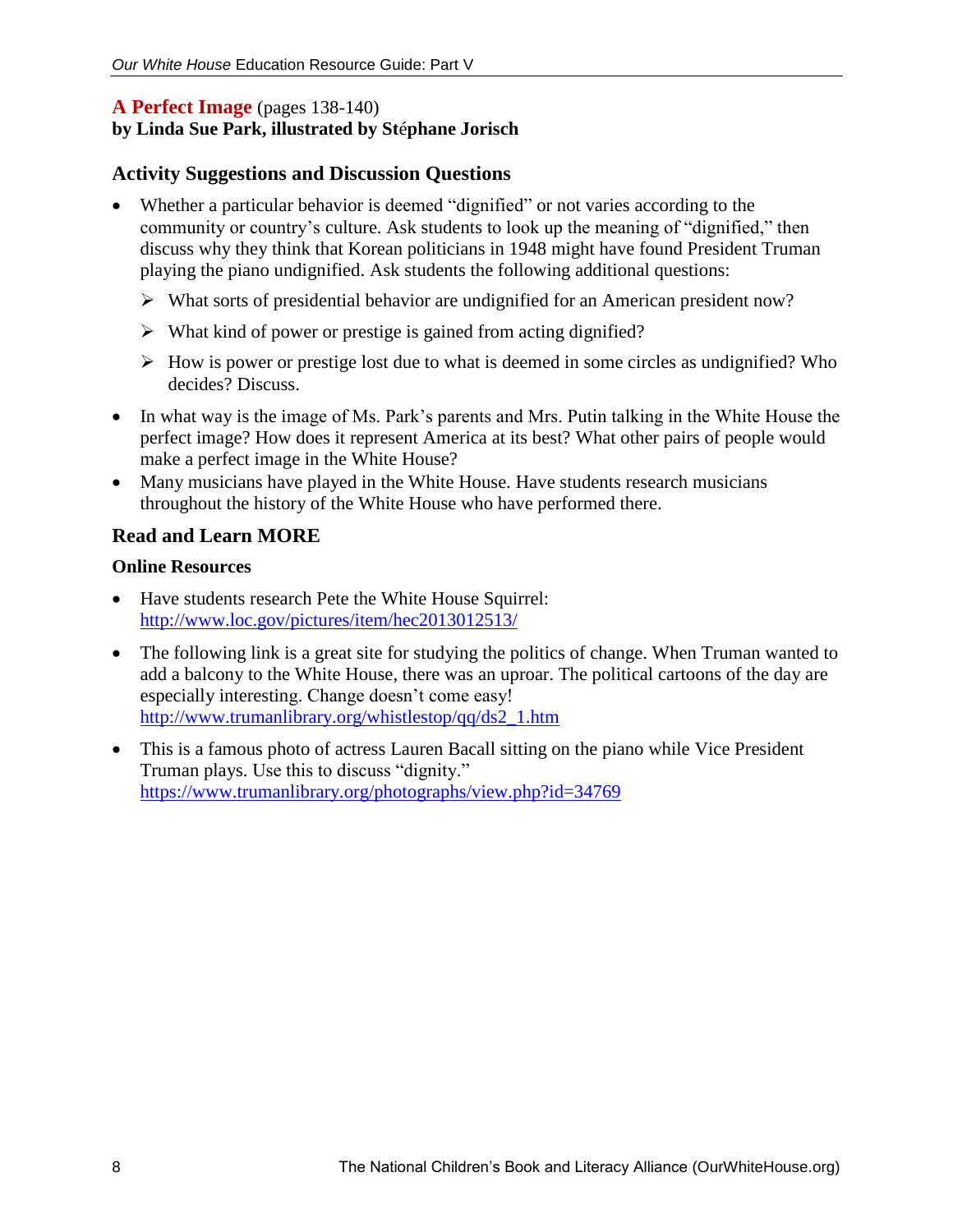# **A Perfect Image** (pages 138-140)

# **by Linda Sue Park, illustrated by St**é**phane Jorisch**

# **Activity Suggestions and Discussion Questions**

- Whether a particular behavior is deemed "dignified" or not varies according to the community or country's culture. Ask students to look up the meaning of "dignified," then discuss why they think that Korean politicians in 1948 might have found President Truman playing the piano undignified. Ask students the following additional questions:
	- $\triangleright$  What sorts of presidential behavior are undignified for an American president now?
	- $\triangleright$  What kind of power or prestige is gained from acting dignified?
	- $\triangleright$  How is power or prestige lost due to what is deemed in some circles as undignified? Who decides? Discuss.
- In what way is the image of Ms. Park's parents and Mrs. Putin talking in the White House the perfect image? How does it represent America at its best? What other pairs of people would make a perfect image in the White House?
- Many musicians have played in the White House. Have students research musicians throughout the history of the White House who have performed there.

# **Read and Learn MORE**

# **Online Resources**

- Have students research Pete the White House Squirrel: <http://www.loc.gov/pictures/item/hec2013012513/>
- The following link is a great site for studying the politics of change. When Truman wanted to add a balcony to the White House, there was an uproar. The political cartoons of the day are especially interesting. Change doesn't come easy! [http://www.trumanlibrary.org/whistlestop/qq/ds2\\_1.htm](http://www.trumanlibrary.org/whistlestop/qq/ds2_1.htm)
- This is a famous photo of actress Lauren Bacall sitting on the piano while Vice President Truman plays. Use this to discuss "dignity." <https://www.trumanlibrary.org/photographs/view.php?id=34769>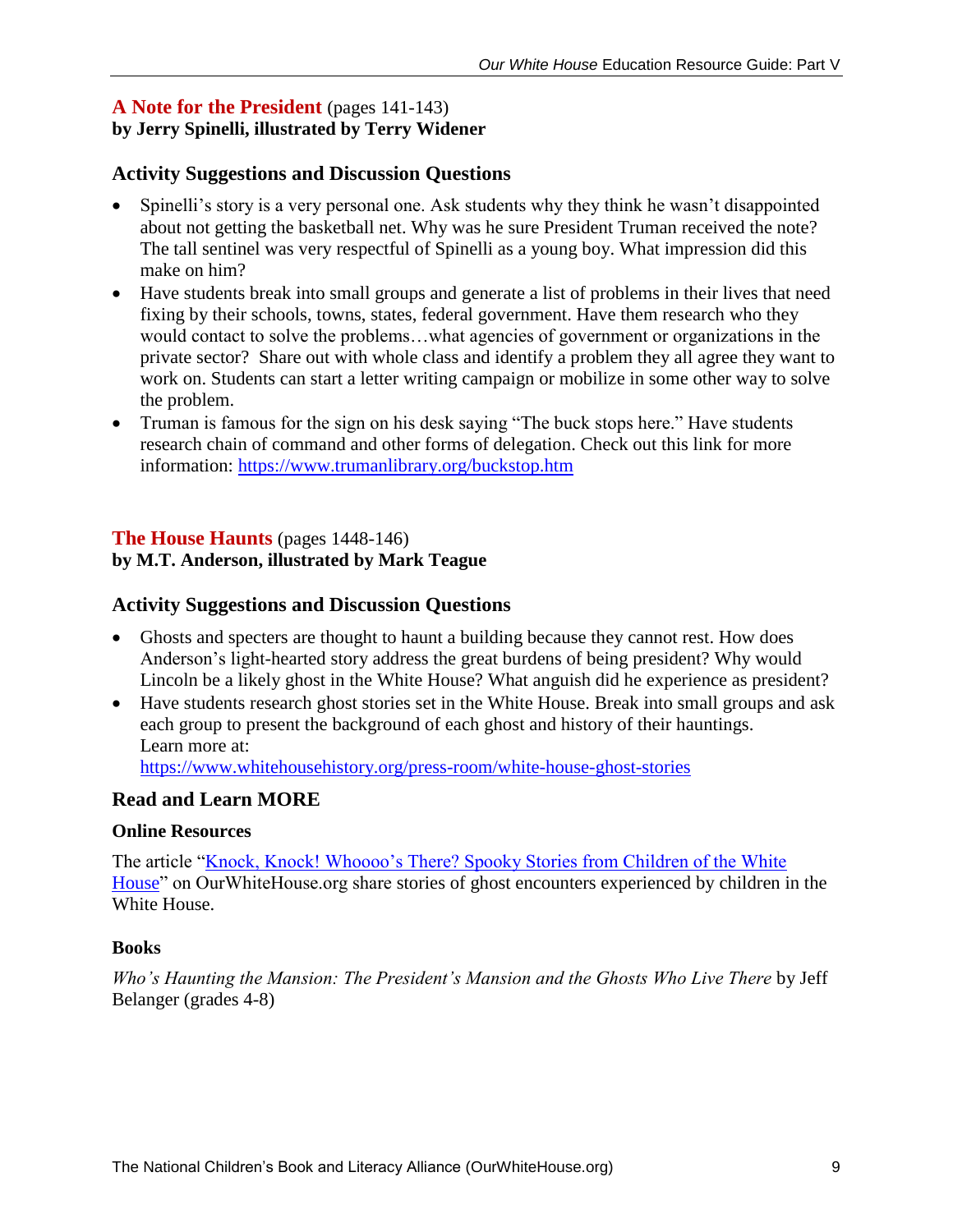#### **A Note for the President** (pages 141-143) **by Jerry Spinelli, illustrated by Terry Widener**

# **Activity Suggestions and Discussion Questions**

- Spinelli's story is a very personal one. Ask students why they think he wasn't disappointed about not getting the basketball net. Why was he sure President Truman received the note? The tall sentinel was very respectful of Spinelli as a young boy. What impression did this make on him?
- Have students break into small groups and generate a list of problems in their lives that need fixing by their schools, towns, states, federal government. Have them research who they would contact to solve the problems…what agencies of government or organizations in the private sector? Share out with whole class and identify a problem they all agree they want to work on. Students can start a letter writing campaign or mobilize in some other way to solve the problem.
- Truman is famous for the sign on his desk saying "The buck stops here." Have students research chain of command and other forms of delegation. Check out this link for more information:<https://www.trumanlibrary.org/buckstop.htm>

# **The House Haunts** (pages 1448-146)

#### **by M.T. Anderson, illustrated by Mark Teague**

## **Activity Suggestions and Discussion Questions**

- Ghosts and specters are thought to haunt a building because they cannot rest. How does Anderson's light-hearted story address the great burdens of being president? Why would Lincoln be a likely ghost in the White House? What anguish did he experience as president?
- Have students research ghost stories set in the White House. Break into small groups and ask each group to present the background of each ghost and history of their hauntings. Learn more at:

https://www.whitehousehistory.org/press-room/white-house-ghost-stories

# **Read and Learn MORE**

#### **Online Resources**

The article "Knock, Knock! Whoooo's There? Spooky Stories from Children of the White [House"](http://ourwhitehouse.org/knock-knock-whoooos-there/) on OurWhiteHouse.org share stories of ghost encounters experienced by children in the White House.

#### **Books**

*Who's Haunting the Mansion: The President's Mansion and the Ghosts Who Live There* by Jeff Belanger (grades 4-8)